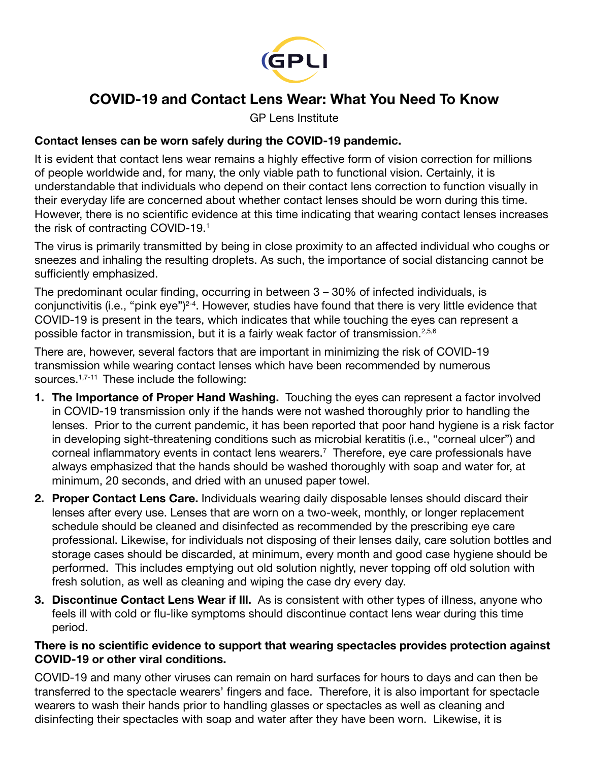

# COVID-19 and Contact Lens Wear: What You Need To Know

GP Lens Institute

### Contact lenses can be worn safely during the COVID-19 pandemic.

It is evident that contact lens wear remains a highly effective form of vision correction for millions of people worldwide and, for many, the only viable path to functional vision. Certainly, it is understandable that individuals who depend on their contact lens correction to function visually in their everyday life are concerned about whether contact lenses should be worn during this time. However, there is no scientific evidence at this time indicating that wearing contact lenses increases the risk of contracting COVID-19.1

The virus is primarily transmitted by being in close proximity to an affected individual who coughs or sneezes and inhaling the resulting droplets. As such, the importance of social distancing cannot be sufficiently emphasized.

The predominant ocular finding, occurring in between 3 – 30% of infected individuals, is conjunctivitis (i.e., "pink eye")2-4. However, studies have found that there is very little evidence that COVID-19 is present in the tears, which indicates that while touching the eyes can represent a possible factor in transmission, but it is a fairly weak factor of transmission.2,5,6

There are, however, several factors that are important in minimizing the risk of COVID-19 transmission while wearing contact lenses which have been recommended by numerous sources.<sup>1,7-11</sup> These include the following:

- 1. The Importance of Proper Hand Washing. Touching the eyes can represent a factor involved in COVID-19 transmission only if the hands were not washed thoroughly prior to handling the lenses. Prior to the current pandemic, it has been reported that poor hand hygiene is a risk factor in developing sight-threatening conditions such as microbial keratitis (i.e., "corneal ulcer") and corneal inflammatory events in contact lens wearers.<sup>7</sup> Therefore, eye care professionals have always emphasized that the hands should be washed thoroughly with soap and water for, at minimum, 20 seconds, and dried with an unused paper towel.
- 2. Proper Contact Lens Care. Individuals wearing daily disposable lenses should discard their lenses after every use. Lenses that are worn on a two-week, monthly, or longer replacement schedule should be cleaned and disinfected as recommended by the prescribing eye care professional. Likewise, for individuals not disposing of their lenses daily, care solution bottles and storage cases should be discarded, at minimum, every month and good case hygiene should be performed. This includes emptying out old solution nightly, never topping off old solution with fresh solution, as well as cleaning and wiping the case dry every day.
- 3. Discontinue Contact Lens Wear if III. As is consistent with other types of illness, anyone who feels ill with cold or flu-like symptoms should discontinue contact lens wear during this time period.

#### There is no scientific evidence to support that wearing spectacles provides protection against COVID-19 or other viral conditions.

COVID-19 and many other viruses can remain on hard surfaces for hours to days and can then be transferred to the spectacle wearers' fingers and face. Therefore, it is also important for spectacle wearers to wash their hands prior to handling glasses or spectacles as well as cleaning and disinfecting their spectacles with soap and water after they have been worn. Likewise, it is